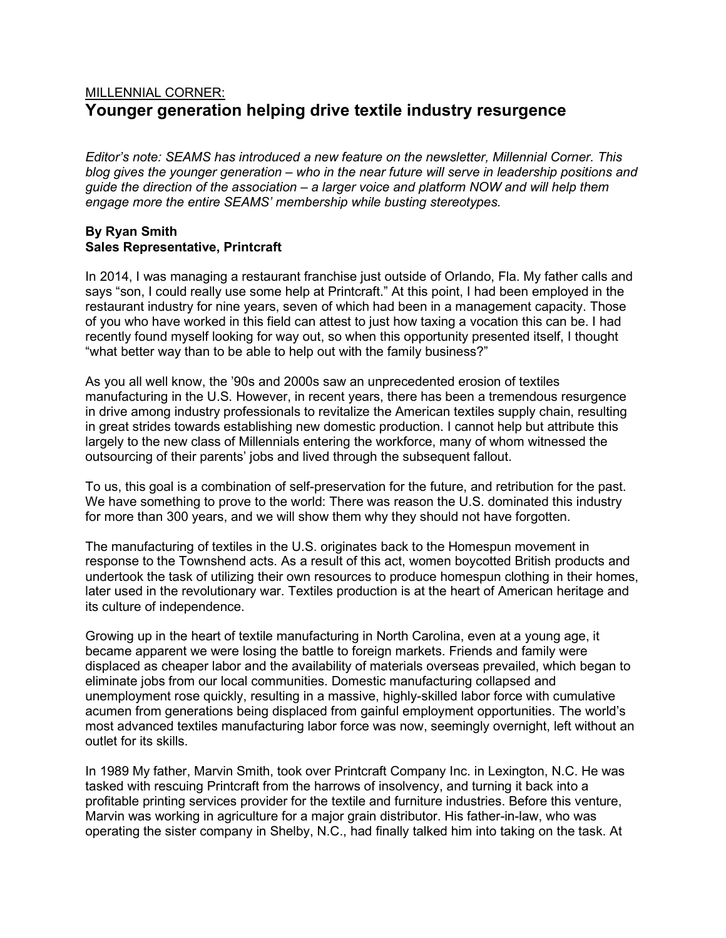## MILLENNIAL CORNER: Younger generation helping drive textile industry resurgence

Editor's note: SEAMS has introduced a new feature on the newsletter, Millennial Corner. This blog gives the younger generation – who in the near future will serve in leadership positions and guide the direction of the association – a larger voice and platform NOW and will help them engage more the entire SEAMS' membership while busting stereotypes.

## By Ryan Smith Sales Representative, Printcraft

In 2014, I was managing a restaurant franchise just outside of Orlando, Fla. My father calls and says "son, I could really use some help at Printcraft." At this point, I had been employed in the restaurant industry for nine years, seven of which had been in a management capacity. Those of you who have worked in this field can attest to just how taxing a vocation this can be. I had recently found myself looking for way out, so when this opportunity presented itself, I thought "what better way than to be able to help out with the family business?"

As you all well know, the '90s and 2000s saw an unprecedented erosion of textiles manufacturing in the U.S. However, in recent years, there has been a tremendous resurgence in drive among industry professionals to revitalize the American textiles supply chain, resulting in great strides towards establishing new domestic production. I cannot help but attribute this largely to the new class of Millennials entering the workforce, many of whom witnessed the outsourcing of their parents' jobs and lived through the subsequent fallout.

To us, this goal is a combination of self-preservation for the future, and retribution for the past. We have something to prove to the world: There was reason the U.S. dominated this industry for more than 300 years, and we will show them why they should not have forgotten.

The manufacturing of textiles in the U.S. originates back to the Homespun movement in response to the Townshend acts. As a result of this act, women boycotted British products and undertook the task of utilizing their own resources to produce homespun clothing in their homes, later used in the revolutionary war. Textiles production is at the heart of American heritage and its culture of independence.

Growing up in the heart of textile manufacturing in North Carolina, even at a young age, it became apparent we were losing the battle to foreign markets. Friends and family were displaced as cheaper labor and the availability of materials overseas prevailed, which began to eliminate jobs from our local communities. Domestic manufacturing collapsed and unemployment rose quickly, resulting in a massive, highly-skilled labor force with cumulative acumen from generations being displaced from gainful employment opportunities. The world's most advanced textiles manufacturing labor force was now, seemingly overnight, left without an outlet for its skills.

In 1989 My father, Marvin Smith, took over Printcraft Company Inc. in Lexington, N.C. He was tasked with rescuing Printcraft from the harrows of insolvency, and turning it back into a profitable printing services provider for the textile and furniture industries. Before this venture, Marvin was working in agriculture for a major grain distributor. His father-in-law, who was operating the sister company in Shelby, N.C., had finally talked him into taking on the task. At